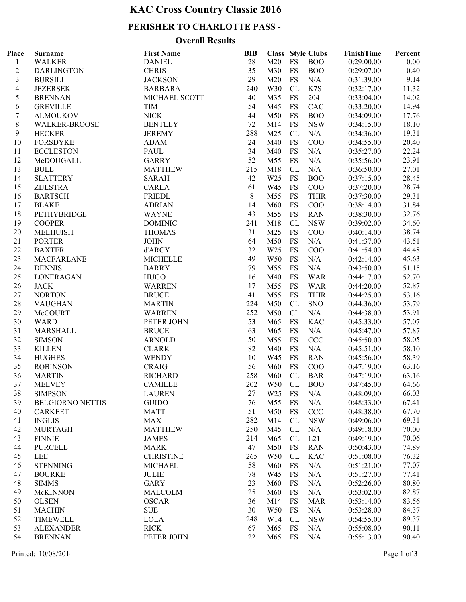# **KAC Cross Country Classic 2016**

### **PERISHER TO CHARLOTTE PASS -**

#### **Overall Results**

| Place          | <b>Surname</b>          | <b>First Name</b> | <b>BIB</b> |                 |           | <b>Class</b> Style Clubs | <b>FinishTime</b> | Percent |  |
|----------------|-------------------------|-------------------|------------|-----------------|-----------|--------------------------|-------------------|---------|--|
| 1              | <b>WALKER</b>           | <b>DANIEL</b>     | 28         | M20             | <b>FS</b> | <b>BOO</b>               | 0:29:00.00        | 0.00    |  |
| $\overline{c}$ | <b>DARLINGTON</b>       | <b>CHRIS</b>      | 35         | M30             | FS        | <b>BOO</b>               | 0:29:07.00        | 0.40    |  |
| 3              | <b>BURSILL</b>          | <b>JACKSON</b>    | 29         | M20             | <b>FS</b> | N/A                      | 0:31:39.00        | 9.14    |  |
| $\overline{4}$ | <b>JEZERSEK</b>         | <b>BARBARA</b>    | 240        | W30             | CL        | K7S                      | 0:32:17.00        | 11.32   |  |
| 5              | <b>BRENNAN</b>          | MICHAEL SCOTT     | 40         | M35             | FS        | 204                      | 0:33:04.00        | 14.02   |  |
| 6              | <b>GREVILLE</b>         | <b>TIM</b>        | 54         | M45             | <b>FS</b> | CAC                      | 0:33:20.00        | 14.94   |  |
| $\tau$         | <b>ALMOUKOV</b>         | <b>NICK</b>       | 44         | M50             | <b>FS</b> | <b>BOO</b>               | 0:34:09.00        | 17.76   |  |
| $8\,$          | <b>WALKER-BROOSE</b>    | <b>BENTLEY</b>    | 72         | M14             | <b>FS</b> | <b>NSW</b>               | 0:34:15.00        | 18.10   |  |
| 9              | <b>HECKER</b>           | <b>JEREMY</b>     | 288        | M25             | CL        | N/A                      | 0:34:36.00        | 19.31   |  |
| 10             | <b>FORSDYKE</b>         | <b>ADAM</b>       | 24         | M40             | <b>FS</b> | COO                      | 0:34:55.00        | 20.40   |  |
| 11             | <b>ECCLESTON</b>        | PAUL              | 34         | M40             | <b>FS</b> | N/A                      | 0:35:27.00        | 22.24   |  |
| 12             | McDOUGALL               | <b>GARRY</b>      | 52         | M55             | <b>FS</b> | N/A                      | 0:35:56.00        | 23.91   |  |
| 13             | <b>BULL</b>             | <b>MATTHEW</b>    | 215        | M18             | CL        | N/A                      | 0:36:50.00        | 27.01   |  |
| 14             | <b>SLATTERY</b>         | <b>SARAH</b>      | 42         | W <sub>25</sub> | <b>FS</b> | <b>BOO</b>               | 0:37:15.00        | 28.45   |  |
| 15             | <b>ZIJLSTRA</b>         | CARLA             | 61         | W45             | FS        | COO                      | 0:37:20.00        | 28.74   |  |
| 16             | <b>BARTSCH</b>          | FRIEDL            | 8          | M55             | FS        | <b>THIR</b>              | 0:37:30.00        | 29.31   |  |
| 17             | <b>BLAKE</b>            | <b>ADRIAN</b>     | 14         | M60             | FS        | COO                      | 0:38:14.00        | 31.84   |  |
| 18             | PETHYBRIDGE             | <b>WAYNE</b>      | 43         | M55             | <b>FS</b> | <b>RAN</b>               | 0:38:30.00        | 32.76   |  |
| 19             | <b>COOPER</b>           | <b>DOMINIC</b>    | 241        | M18             | CL        | <b>NSW</b>               | 0:39:02.00        | 34.60   |  |
| 20             | <b>MELHUISH</b>         | <b>THOMAS</b>     | 31         | M25             | <b>FS</b> | COO                      | 0:40:14.00        | 38.74   |  |
|                |                         |                   |            |                 |           |                          |                   |         |  |
| 21             | <b>PORTER</b>           | <b>JOHN</b>       | 64         | M50             | <b>FS</b> | N/A                      | 0:41:37.00        | 43.51   |  |
| $22\,$         | <b>BAXTER</b>           | d'ARCY            | 32         | W <sub>25</sub> | <b>FS</b> | COO                      | 0:41:54.00        | 44.48   |  |
| 23             | <b>MACFARLANE</b>       | <b>MICHELLE</b>   | 49         | W <sub>50</sub> | <b>FS</b> | N/A                      | 0:42:14.00        | 45.63   |  |
| 24             | <b>DENNIS</b>           | <b>BARRY</b>      | 79         | M55             | <b>FS</b> | N/A                      | 0:43:50.00        | 51.15   |  |
| 25             | LONERAGAN               | <b>HUGO</b>       | 16         | M40             | <b>FS</b> | <b>WAR</b>               | 0:44:17.00        | 52.70   |  |
| 26             | <b>JACK</b>             | WARREN            | 17         | M55             | <b>FS</b> | <b>WAR</b>               | 0:44:20.00        | 52.87   |  |
| $27\,$         | <b>NORTON</b>           | <b>BRUCE</b>      | 41         | M55             | <b>FS</b> | <b>THIR</b>              | 0:44:25.00        | 53.16   |  |
| $28\,$         | <b>VAUGHAN</b>          | <b>MARTIN</b>     | 224        | M50             | CL        | <b>SNO</b>               | 0:44:36.00        | 53.79   |  |
| 29             | McCOURT                 | <b>WARREN</b>     | 252        | M50             | CL        | N/A                      | 0:44:38.00        | 53.91   |  |
| 30             | <b>WARD</b>             | PETER JOHN        | 53         | M65             | <b>FS</b> | <b>KAC</b>               | 0:45:33.00        | 57.07   |  |
| 31             | MARSHALL                | <b>BRUCE</b>      | 63         | M65             | <b>FS</b> | N/A                      | 0:45:47.00        | 57.87   |  |
| 32             | <b>SIMSON</b>           | <b>ARNOLD</b>     | 50         | M55             | FS        | <b>CCC</b>               | 0:45:50.00        | 58.05   |  |
| 33             | <b>KILLEN</b>           | <b>CLARK</b>      | 82         | M40             | <b>FS</b> | N/A                      | 0:45:51.00        | 58.10   |  |
| 34             | <b>HUGHES</b>           | <b>WENDY</b>      | 10         | W45             | FS        | <b>RAN</b>               | 0:45:56.00        | 58.39   |  |
| 35             | <b>ROBINSON</b>         | <b>CRAIG</b>      | 56         | M60             | <b>FS</b> | COO                      | 0:47:19.00        | 63.16   |  |
| 36             | <b>MARTIN</b>           | <b>RICHARD</b>    | 258        | M60             | CL        | <b>BAR</b>               | 0:47:19.00        | 63.16   |  |
| 37             | <b>MELVEY</b>           | <b>CAMILLE</b>    | 202        | W50             | CL        | <b>BOO</b>               | 0:47:45.00        | 64.66   |  |
| 38             | <b>SIMPSON</b>          | <b>LAUREN</b>     | 27         | W <sub>25</sub> | FS        | N/A                      | 0:48:09.00        | 66.03   |  |
| 39             | <b>BELGIORNO NETTIS</b> | <b>GUIDO</b>      | 76         | M55             | FS        | N/A                      | 0:48:33.00        | 67.41   |  |
| 40             | <b>CARKEET</b>          | <b>MATT</b>       | 51         | M50             | <b>FS</b> | <b>CCC</b>               | 0:48:38.00        | 67.70   |  |
| 41             | <b>INGLIS</b>           | <b>MAX</b>        | 282        | M14             | CL        | <b>NSW</b>               | 0:49:06.00        | 69.31   |  |
| 42             | <b>MURTAGH</b>          | <b>MATTHEW</b>    | 250        | M45             | CL        | N/A                      | 0:49:18.00        | 70.00   |  |
| 43             | <b>FINNIE</b>           | <b>JAMES</b>      | 214        | M65             | CL        | L21                      | 0:49:19.00        | 70.06   |  |
| 44             | <b>PURCELL</b>          | <b>MARK</b>       | 47         | M50             | FS        | <b>RAN</b>               | 0:50:43.00        | 74.89   |  |
| 45             | LEE                     | <b>CHRISTINE</b>  | 265        | W50             | CL        | <b>KAC</b>               | 0:51:08.00        | 76.32   |  |
| 46             | <b>STENNING</b>         | <b>MICHAEL</b>    | 58         | M60             | FS        | N/A                      | 0:51:21.00        | 77.07   |  |
| 47             | <b>BOURKE</b>           | <b>JULIE</b>      | 78         | W45             | FS        | N/A                      | 0:51:27.00        | 77.41   |  |
| 48             | <b>SIMMS</b>            | <b>GARY</b>       | 23         | M60             | FS        | N/A                      | 0:52:26.00        | 80.80   |  |
| 49             | McKINNON                | MALCOLM           | 25         | M60             | FS        | N/A                      | 0:53:02.00        | 82.87   |  |
| 50             | <b>OLSEN</b>            | <b>OSCAR</b>      | 36         | M14             | FS        | <b>MAR</b>               | 0:53:14.00        | 83.56   |  |
| 51             | <b>MACHIN</b>           | <b>SUE</b>        | 30         | W <sub>50</sub> | FS        | N/A                      | 0:53:28.00        | 84.37   |  |
| 52             | <b>TIMEWELL</b>         | <b>LOLA</b>       | 248        | W14             | CL        | <b>NSW</b>               | 0:54:55.00        | 89.37   |  |
| 53             | <b>ALEXANDER</b>        | <b>RICK</b>       | 67         | M65             | FS        | N/A                      | 0:55:08.00        | 90.11   |  |
| 54             |                         |                   | 22         |                 |           |                          |                   | 90.40   |  |
|                | <b>BRENNAN</b>          | PETER JOHN        |            | M65             | FS        | N/A                      | 0:55:13.00        |         |  |

Printed: 10/08/2016 Page 1 of 3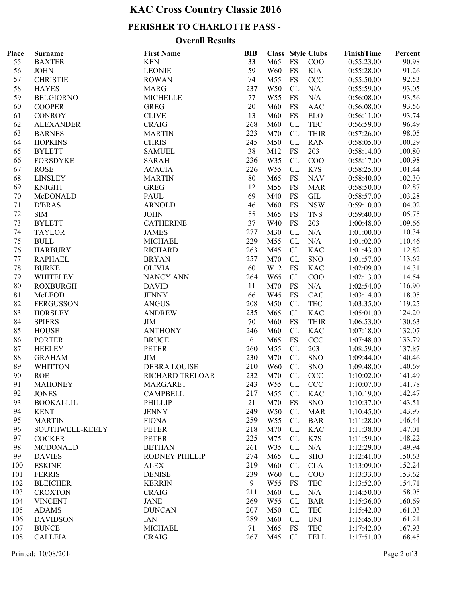# **KAC Cross Country Classic 2016**

### **PERISHER TO CHARLOTTE PASS -**

### **Overall Results**

| Place | <b>Surname</b>   | <b>First Name</b>   | BIB             | <b>Class</b>    |           | <b>Style Clubs</b> | <b>FinishTime</b> | Percent |  |
|-------|------------------|---------------------|-----------------|-----------------|-----------|--------------------|-------------------|---------|--|
| 55    | <b>BAXTER</b>    | <b>KEN</b>          | $\overline{33}$ | M65             | <b>FS</b> | $\rm{COO}$         | 0:55:23.00        | 90.98   |  |
| 56    | <b>JOHN</b>      | <b>LEONIE</b>       | 59              | <b>W60</b>      | FS        | KIA                | 0:55:28.00        | 91.26   |  |
| 57    | <b>CHRISTIE</b>  | <b>ROWAN</b>        | 74              | M55             | <b>FS</b> | <b>CCC</b>         | 0:55:50.00        | 92.53   |  |
| 58    | <b>HAYES</b>     | <b>MARG</b>         | 237             | W50             | CL        | N/A                | 0:55:59.00        | 93.05   |  |
| 59    | <b>BELGIORNO</b> | <b>MICHELLE</b>     | 77              | W <sub>55</sub> | <b>FS</b> | N/A                | 0:56:08.00        | 93.56   |  |
| 60    | <b>COOPER</b>    | <b>GREG</b>         | 20              | M60             | <b>FS</b> | AAC                | 0:56:08.00        | 93.56   |  |
| 61    | <b>CONROY</b>    | <b>CLIVE</b>        | 13              | M60             | <b>FS</b> | <b>ELO</b>         | 0:56:11.00        | 93.74   |  |
| 62    | <b>ALEXANDER</b> | <b>CRAIG</b>        | 268             | M60             | CL        | <b>TEC</b>         | 0:56:59.00        | 96.49   |  |
| 63    | <b>BARNES</b>    | <b>MARTIN</b>       | 223             | M70             | CL        | <b>THIR</b>        | 0:57:26.00        | 98.05   |  |
| 64    | <b>HOPKINS</b>   | <b>CHRIS</b>        | 245             | M50             | CL        | <b>RAN</b>         | 0:58:05.00        | 100.29  |  |
| 65    | <b>BYLETT</b>    | <b>SAMUEL</b>       | 38              | M12             | <b>FS</b> | 203                | 0:58:14.00        | 100.80  |  |
| 66    | <b>FORSDYKE</b>  | <b>SARAH</b>        | 236             | W35             | CL        | COO                | 0:58:17.00        | 100.98  |  |
| 67    | <b>ROSE</b>      | <b>ACACIA</b>       | 226             | W <sub>55</sub> | CL        | K7S                | 0:58:25.00        | 101.44  |  |
| 68    | <b>LINSLEY</b>   | <b>MARTIN</b>       | 80              | M65             | <b>FS</b> | <b>NAV</b>         | 0:58:40.00        | 102.30  |  |
| 69    | <b>KNIGHT</b>    | <b>GREG</b>         | 12              | M55             | FS        | <b>MAR</b>         | 0:58:50.00        | 102.87  |  |
| 70    | McDONALD         | PAUL                | 69              | M40             | FS        | GIL                | 0:58:57.00        | 103.28  |  |
| 71    | <b>D'BRAS</b>    | <b>ARNOLD</b>       | 46              | M60             | FS        | <b>NSW</b>         | 0:59:10.00        | 104.02  |  |
| 72    | <b>SIM</b>       | <b>JOHN</b>         | 55              | M65             | <b>FS</b> | <b>TNS</b>         | 0:59:40.00        | 105.75  |  |
| 73    | <b>BYLETT</b>    | <b>CATHERINE</b>    | 37              | W40             | <b>FS</b> | 203                | 1:00:48.00        | 109.66  |  |
| 74    | <b>TAYLOR</b>    | <b>JAMES</b>        | 277             | M30             | CL        | N/A                | 1:01:00.00        | 110.34  |  |
| 75    | <b>BULL</b>      | <b>MICHAEL</b>      | 229             | M55             | CL        | N/A                | 1:01:02.00        | 110.46  |  |
| 76    | <b>HARBURY</b>   | <b>RICHARD</b>      | 263             | M45             | CL        | <b>KAC</b>         | 1:01:43.00        | 112.82  |  |
| 77    | <b>RAPHAEL</b>   | <b>BRYAN</b>        | 257             | M70             | CL        | <b>SNO</b>         | 1:01:57.00        | 113.62  |  |
| 78    | <b>BURKE</b>     | <b>OLIVIA</b>       | 60              | W12             | <b>FS</b> | <b>KAC</b>         | 1:02:09.00        | 114.31  |  |
| 79    | <b>WHITELEY</b>  | <b>NANCY ANN</b>    | 264             | W <sub>65</sub> | <b>CL</b> | COO                | 1:02:13.00        | 114.54  |  |
| 80    | <b>ROXBURGH</b>  | <b>DAVID</b>        | 11              | M70             | <b>FS</b> | N/A                | 1:02:54.00        | 116.90  |  |
| 81    | McLEOD           | <b>JENNY</b>        | 66              | W45             | <b>FS</b> | CAC                | 1:03:14.00        | 118.05  |  |
| 82    | <b>FERGUSSON</b> | <b>ANGUS</b>        | 208             | M50             | CL        | <b>TEC</b>         | 1:03:35.00        | 119.25  |  |
| 83    | <b>HORSLEY</b>   | <b>ANDREW</b>       | 235             | M65             | CL        | <b>KAC</b>         | 1:05:01.00        | 124.20  |  |
| 84    | <b>SPIERS</b>    | <b>JIM</b>          | 70              | M60             | <b>FS</b> | <b>THIR</b>        | 1:06:53.00        | 130.63  |  |
| 85    | <b>HOUSE</b>     | <b>ANTHONY</b>      | 246             | M60             | CL        | <b>KAC</b>         | 1:07:18.00        | 132.07  |  |
| 86    | <b>PORTER</b>    | <b>BRUCE</b>        | 6               | M65             | <b>FS</b> | <b>CCC</b>         | 1:07:48.00        | 133.79  |  |
| 87    | <b>HEELEY</b>    | <b>PETER</b>        | 260             | M55             | CL        | 203                | 1:08:59.00        | 137.87  |  |
| 88    | <b>GRAHAM</b>    | <b>JIM</b>          | 230             | M70             | CL        | <b>SNO</b>         | 1:09:44.00        | 140.46  |  |
| 89    | <b>WHITTON</b>   | <b>DEBRA LOUISE</b> | 210             | <b>W60</b>      | CL        | <b>SNO</b>         | 1:09:48.00        | 140.69  |  |
| 90    | <b>ROE</b>       | RICHARD TRELOAR     | 232             | M70             | CL        | <b>CCC</b>         | 1:10:02.00        | 141.49  |  |
| 91    | <b>MAHONEY</b>   | MARGARET            | 243             | W <sub>55</sub> | CL        | <b>CCC</b>         | 1:10:07.00        | 141.78  |  |
| 92    | <b>JONES</b>     | <b>CAMPBELL</b>     | 217             | M55             | CL        | KAC                | 1:10:19.00        | 142.47  |  |
| 93    | <b>BOOKALLIL</b> | <b>PHILLIP</b>      | 21              | M70             | <b>FS</b> | <b>SNO</b>         | 1:10:37.00        | 143.51  |  |
| 94    | <b>KENT</b>      | <b>JENNY</b>        | 249             | W50             | CL        | <b>MAR</b>         | 1:10:45.00        | 143.97  |  |
| 95    | <b>MARTIN</b>    | <b>FIONA</b>        | 259             | W <sub>55</sub> | CL        | <b>BAR</b>         | 1:11:28.00        | 146.44  |  |
| 96    | SOUTHWELL-KEELY  | <b>PETER</b>        | 218             | M70             | CL        | <b>KAC</b>         | 1:11:38.00        | 147.01  |  |
| 97    | <b>COCKER</b>    | PETER               | 225             | M75             | CL        | K7S                | 1:11:59.00        | 148.22  |  |
| 98    | <b>MCDONALD</b>  | <b>BETHAN</b>       | 261             | W35             | CL        | N/A                | 1:12:29.00        | 149.94  |  |
| 99    | <b>DAVIES</b>    | RODNEY PHILLIP      | 274             | M65             | CL        | <b>SHO</b>         | 1:12:41.00        | 150.63  |  |
| 100   | <b>ESKINE</b>    | ALEX                | 219             | M60             | CL        | <b>CLA</b>         | 1:13:09.00        | 152.24  |  |
| 101   | <b>FERRIS</b>    | <b>DENISE</b>       | 239             | W60             | CL        | COO                | 1:13:33.00        | 153.62  |  |
| 102   | <b>BLEICHER</b>  | <b>KERRIN</b>       | 9               | W <sub>55</sub> | FS        | <b>TEC</b>         | 1:13:52.00        | 154.71  |  |
| 103   | <b>CROXTON</b>   | CRAIG               | 211             | M60             | CL        | N/A                | 1:14:50.00        | 158.05  |  |
| 104   | <b>VINCENT</b>   | JANE                | 269             | W <sub>55</sub> | CL        | <b>BAR</b>         | 1:15:36.00        | 160.69  |  |
| 105   | <b>ADAMS</b>     | <b>DUNCAN</b>       | 207             | M50             | CL        | <b>TEC</b>         | 1:15:42.00        | 161.03  |  |
| 106   | <b>DAVIDSON</b>  | <b>IAN</b>          | 289             | M60             | CL        | <b>UNI</b>         | 1:15:45.00        | 161.21  |  |
| 107   | <b>BUNCE</b>     | <b>MICHAEL</b>      | 71              | M65             | <b>FS</b> | <b>TEC</b>         | 1:17:42.00        | 167.93  |  |
| 108   | <b>CALLEIA</b>   | <b>CRAIG</b>        | 267             | M45             | CL        | <b>FELL</b>        | 1:17:51.00        | 168.45  |  |
|       |                  |                     |                 |                 |           |                    |                   |         |  |

Printed: 10/08/2016 Page 2 of 3